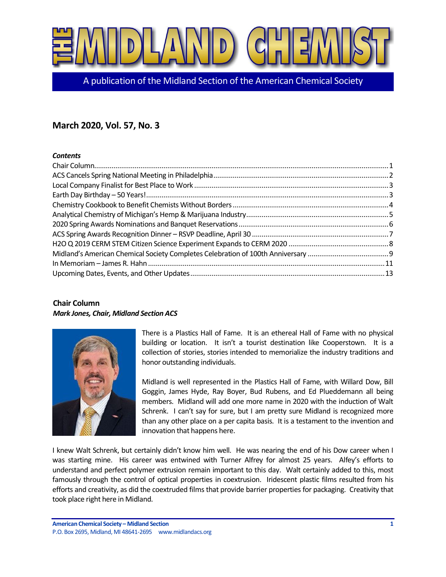

A publication of the Midland Section of the American Chemical Society

# **March 2020, Vol. 57, No. 3**

#### *Contents*

# <span id="page-0-0"></span>**Chair Column** *Mark Jones, Chair, Midland Section ACS*



There is a Plastics Hall of Fame. It is an ethereal Hall of Fame with no physical building or location. It isn't a tourist destination like Cooperstown. It is a collection of stories, stories intended to memorialize the industry traditions and honor outstanding individuals.

Midland is well represented in the Plastics Hall of Fame, with Willard Dow, Bill Goggin, James Hyde, Ray Boyer, Bud Rubens, and Ed Plueddemann all being members. Midland will add one more name in 2020 with the induction of Walt Schrenk. I can't say for sure, but I am pretty sure Midland is recognized more than any other place on a per capita basis. It is a testament to the invention and innovation that happens here.

I knew Walt Schrenk, but certainly didn't know him well. He was nearing the end of his Dow career when I was starting mine. His career was entwined with Turner Alfrey for almost 25 years. Alfey's efforts to understand and perfect polymer extrusion remain important to this day. Walt certainly added to this, most famously through the control of optical properties in coextrusion. Iridescent plastic films resulted from his efforts and creativity, as did the coextruded films that provide barrier properties for packaging. Creativity that took place right here in Midland.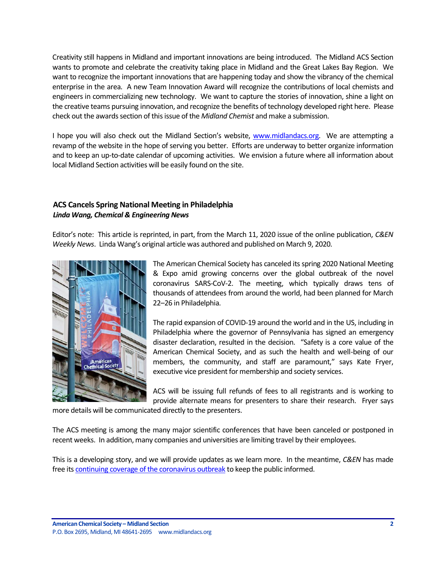Creativity still happens in Midland and important innovations are being introduced. The Midland ACS Section wants to promote and celebrate the creativity taking place in Midland and the Great Lakes Bay Region. We want to recognize the important innovations that are happening today and show the vibrancy of the chemical enterprise in the area. A new Team Innovation Award will recognize the contributions of local chemists and engineers in commercializing new technology. We want to capture the stories of innovation, shine a light on the creative teams pursuing innovation, and recognize the benefits of technology developed right here. Please check out the awards section of this issue of the *Midland Chemist* and make a submission.

I hope you will also check out the Midland Section's website, [www.midlandacs.org.](http://www.midlandacs.org/) We are attempting a revamp of the website in the hope of serving you better. Efforts are underway to better organize information and to keep an up-to-date calendar of upcoming activities. We envision a future where all information about local Midland Section activities will be easily found on the site.

# <span id="page-1-0"></span>**ACS Cancels Spring National Meeting in Philadelphia** *Linda Wang, Chemical & Engineering News*

Editor's note: This article is reprinted, in part, from the March 11, 2020 issue of the online publication, *C&EN Weekly News*. Linda Wang's original article was authored and published on March 9, 2020.



The American Chemical Society has canceled its spring 2020 National Meeting & Expo amid growing concerns over the global outbreak of the novel coronavirus SARS-CoV-2. The meeting, which typically draws tens of thousands of attendees from around the world, had been planned for March 22–26 in Philadelphia.

The rapid expansion of COVID-19 around the world and in the US, including in Philadelphia where the governor of Pennsylvania has signed an emergency disaster declaration, resulted in the decision. "Safety is a core value of the American Chemical Society, and as such the health and well-being of our members, the community, and staff are paramount," says Kate Fryer, executive vice president for membership and society services.

ACS will be issuing full refunds of fees to all registrants and is working to provide alternate means for presenters to share their research. Fryer says

more details will be communicated directly to the presenters.

The ACS meeting is among the many major scientific conferences that have been canceled or postponed in recent weeks. In addition, many companies and universities are limiting travel by their employees.

This is a developing story, and we will provide updates as we learn more. In the meantime, *C&EN* has made free its [continuing coverage of the coronavirus outbreak](https://cen.acs.org/sections/Tracking-the-novel-coronavirus.html) to keep the public informed.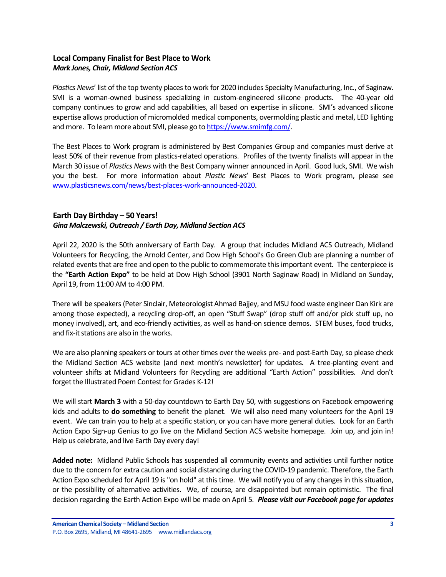# <span id="page-2-0"></span>**Local Company Finalist for Best Place to Work** *Mark Jones, Chair, Midland Section ACS*

*Plastics News*' list of the top twenty places to work for 2020 includes Specialty Manufacturing, Inc., of Saginaw. SMI is a woman-owned business specializing in custom-engineered silicone products. The 40-year old company continues to grow and add capabilities, all based on expertise in silicone. SMI's advanced silicone expertise allows production of micromolded medical components, overmolding plastic and metal, LED lighting and more. To learn more about SMI, please go t[o https://www.smimfg.com/.](https://www.smimfg.com/)

The Best Places to Work program is administered by Best Companies Group and companies must derive at least 50% of their revenue from plastics-related operations. Profiles of the twenty finalists will appear in the March 30 issue of *Plastics News* with the Best Company winner announced in April. Good luck, SMI. We wish you the best. For more information about *Plastic News*' Best Places to Work program, please see [www.plasticsnews.com/news/best-places-work-announced-2020.](https://nam04.safelinks.protection.outlook.com/?url=https%3A%2F%2Furl.emailprotection.link%2F%3Fb3jlvrZp1ROmw8ktYJEzYGW8DjbxKmpVkkT9B7FH-qiEoAWUs_6lldpz2VTk4A76hNDbdEXJqovEyZ96o9HGlv8t3R7nJt4LHmAnbaY_t2FF2ghruWH2Ui_NO4D7rjpll&data=02%7C01%7Cmarkjones%40dow.com%7C1636a578a7f64290c02708d7baf20b4a%7Cc3e32f53cb7f4809968d1cc4ccc785fe%7C0%7C1%7C637183421107295661&sdata=12VgkpPTdL2u2kJuCRxOl4H5HU0Wa%2BwNJZtywWZASu0%3D&reserved=0)

# <span id="page-2-1"></span>**Earth Day Birthday – 50 Years!** *Gina Malczewski, Outreach / Earth Day, Midland Section ACS*

April 22, 2020 is the 50th anniversary of Earth Day. A group that includes Midland ACS Outreach, Midland Volunteers for Recycling, the Arnold Center, and Dow High School's Go Green Club are planning a number of related events that are free and open to the public to commemorate this important event. The centerpiece is the **"Earth Action Expo"** to be held at Dow High School (3901 North Saginaw Road) in Midland on Sunday, April 19, from 11:00 AM to 4:00 PM.

There will be speakers (Peter Sinclair, Meteorologist Ahmad Bajjey, and MSU food waste engineer Dan Kirk are among those expected), a recycling drop-off, an open "Stuff Swap" (drop stuff off and/or pick stuff up, no money involved), art, and eco-friendly activities, as well as hand-on science demos. STEM buses, food trucks, and fix-it stations are also in the works.

We are also planning speakers or tours at other times over the weeks pre- and post-Earth Day, so please check the Midland Section ACS website (and next month's newsletter) for updates. A tree-planting event and volunteer shifts at Midland Volunteers for Recycling are additional "Earth Action" possibilities. And don't forget the Illustrated Poem Contest for Grades K-12!

We will start **March 3** with a 50-day countdown to Earth Day 50, with suggestions on Facebook empowering kids and adults to **do something** to benefit the planet. We will also need many volunteers for the April 19 event. We can train you to help at a specific station, or you can have more general duties. Look for an Earth Action Expo Sign-up Genius to go live on the Midland Section ACS website homepage. Join up, and join in! Help us celebrate, and live Earth Day every day!

**Added note:** Midland Public Schools has suspended all community events and activities until further notice due to the concern for extra caution and social distancing during the COVID-19 pandemic. Therefore, the Earth Action Expo scheduled for April 19 is "on hold" at this time. We will notify you of any changes in this situation, or the possibility of alternative activities. We, of course, are disappointed but remain optimistic. The final decision regarding the Earth Action Expo will be made on April 5. *Please visit our Facebook page for updates*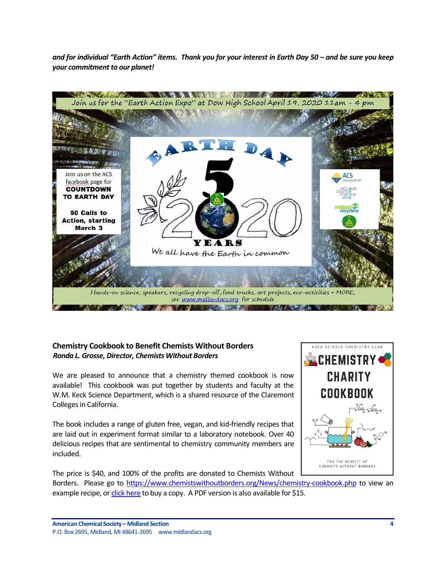*and for individual "Earth Action" items. Thank you for your interest in Earth Day 50 – and be sure you keep your commitment to our planet!*



# <span id="page-3-0"></span>**Chemistry Cookbook to Benefit Chemists Without Borders** *Ronda L. Grosse, Director, Chemists Without Borders*

We are pleased to announce that a chemistry themed cookbook is now available! This cookbook was put together by students and faculty at the W.M. Keck Science Department, which is a shared resource of the Claremont Colleges in California.

The book includes a range of gluten free, vegan, and kid-friendly recipes that are laid out in experiment format similar to a laboratory notebook. Over 40 delicious recipes that are sentimental to chemistry community members are included.



The price is \$40, and 100% of the profits are donated to Chemists Without Borders. Please go to [https://www.chemistswithoutborders.org/News/chemistry-cookbook.php](https://nam04.safelinks.protection.outlook.com/?url=https%3A%2F%2Fwww.chemistswithoutborders.org%2FNews%2Fchemistry-cookbook.php&data=02%7C01%7CVLLanger%40dow.com%7C3778d450cf7f4965d80608d7a04d0a0f%7Cc3e32f53cb7f4809968d1cc4ccc785fe%7C0%7C1%7C637154125063073458&sdata=WBXjf6%2BNqNkdbF%2BYguSlJ5xTkf8SJ%2BaeGonj%2Bp%2BhJcY%3D&reserved=0) to view an example recipe, or [click](https://nam04.safelinks.protection.outlook.com/?url=https%3A%2F%2Fwww.facebook.com%2Fmarketplace%2Fitem%2F458903964770689%2F&data=02%7C01%7CVLLanger%40dow.com%7C3778d450cf7f4965d80608d7a04d0a0f%7Cc3e32f53cb7f4809968d1cc4ccc785fe%7C0%7C1%7C637154125063083449&sdata=wPBWwYYMhk2njTNNBDri9zskbY5z%2BInOGIpjXu9F2Hg%3D&reserved=0) here to buy a copy. A PDF version is also available for \$15.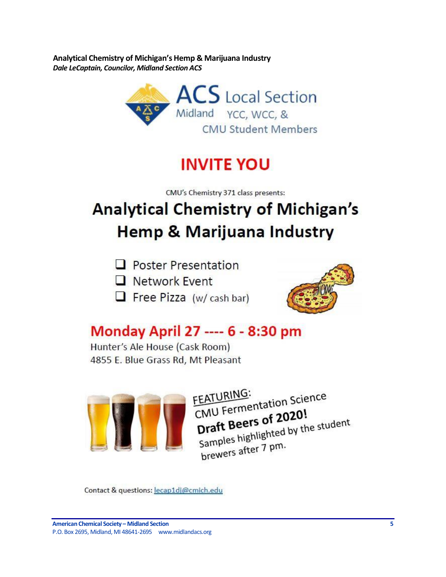<span id="page-4-0"></span>**Analytical Chemistry of Michigan's Hemp & Marijuana Industry** *Dale LeCaptain, Councilor, Midland Section ACS*



# **INVITE YOU**

CMU's Chemistry 371 class presents:

# **Analytical Chemistry of Michigan's Hemp & Marijuana Industry**

- $\Box$  Poster Presentation
- **Network Event**
- $\Box$  Free Pizza (w/ cash bar)



# Monday April 27 ---- 6 - 8:30 pm

Hunter's Ale House (Cask Room) 4855 E. Blue Grass Rd, Mt Pleasant



FEATURING: FEATURING:<br>CMU Fermentation Science CMU Fermentation 2020! Draft Beers of 2020:<br>Samples highlighted by the student<br>samples highlighted by the student brewers after 7 pm.

Contact & questions: lecap1dj@cmich.edu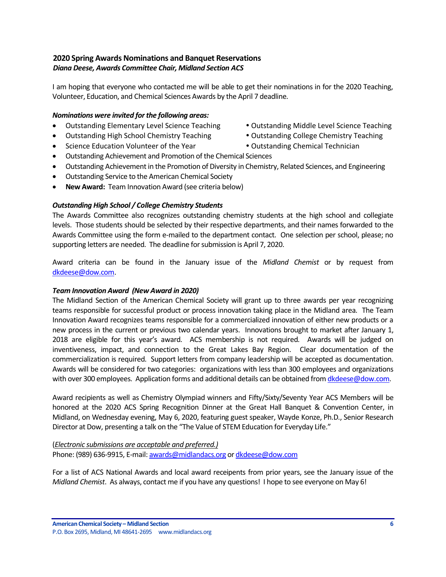# <span id="page-5-0"></span>**2020 Spring Awards Nominations and Banquet Reservations** *Diana Deese, Awards Committee Chair, Midland Section ACS*

I am hoping that everyone who contacted me will be able to get their nominations in for the 2020 Teaching, Volunteer, Education, and Chemical Sciences Awards by the April 7 deadline.

#### *Nominations were invited for the following areas:*

- Outstanding Elementary Level Science Teaching Outstanding Middle Level Science Teaching
- Outstanding High School Chemistry Teaching  **Outstanding College Chemistry Teaching**
- Science Education Volunteer of the Year Outstanding Chemical Technician
- 
- -
- Outstanding Achievement and Promotion of the Chemical Sciences
- Outstanding Achievement in the Promotion of Diversity in Chemistry, Related Sciences, and Engineering
- Outstanding Service to the American Chemical Society
- **New Award:** Team Innovation Award (see criteria below)

#### *Outstanding High School / College Chemistry Students*

The Awards Committee also recognizes outstanding chemistry students at the high school and collegiate levels. Those students should be selected by their respective departments, and their names forwarded to the Awards Committee using the form e-mailed to the department contact. One selection per school, please; no supporting letters are needed. The deadline for submission is April 7, 2020.

Award criteria can be found in the January issue of the *Midland Chemist* or by request from [dkdeese@dow.com.](mailto:dkdeese@dow.com)

#### *Team Innovation Award (New Award in 2020)*

The Midland Section of the American Chemical Society will grant up to three awards per year recognizing teams responsible for successful product or process innovation taking place in the Midland area. The Team Innovation Award recognizes teams responsible for a commercialized innovation of either new products or a new process in the current or previous two calendar years. Innovations brought to market after January 1, 2018 are eligible for this year's award. ACS membership is not required. Awards will be judged on inventiveness, impact, and connection to the Great Lakes Bay Region. Clear documentation of the commercialization is required. Support letters from company leadership will be accepted as documentation. Awards will be considered for two categories: organizations with less than 300 employees and organizations with over 300 employees. Application forms and additional details can be obtained fro[m dkdeese@dow.com.](mailto:dkdeese@dow.com)

Award recipients as well as Chemistry Olympiad winners and Fifty/Sixty/Seventy Year ACS Members will be honored at the 2020 ACS Spring Recognition Dinner at the Great Hall Banquet & Convention Center, in Midland, on Wednesday evening, May 6, 2020, featuring guest speaker, Wayde Konze, Ph.D., Senior Research Director at Dow, presenting a talk on the "The Value of STEM Education for Everyday Life."

(*Electronic submissions are acceptable and preferred.)* Phone: (989) 636-9915, E-mail[: awards@midlandacs.org](mailto:awards@midlandacs.org) or [dkdeese@dow.com](mailto:dkdeese@dow.com)

For a list of ACS National Awards and local award receipents from prior years, see the January issue of the *Midland Chemist*. As always, contact me if you have any questions! I hope to see everyone on May 6!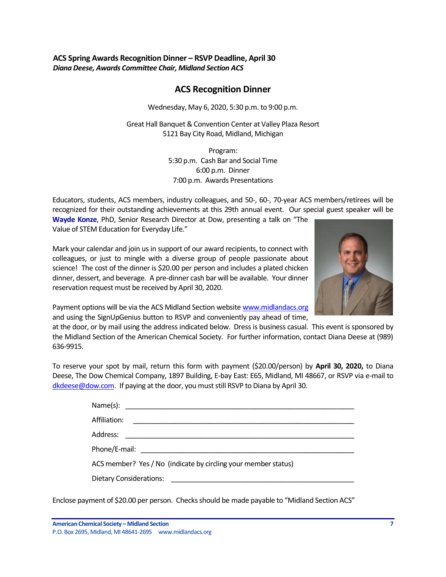# <span id="page-6-0"></span>**ACS Spring Awards Recognition Dinner – RSVP Deadline, April 30** *Diana Deese, Awards Committee Chair, Midland Section ACS*

# **ACS Recognition Dinner**

Wednesday, May 6, 2020, 5:30 p.m. to 9:00 p.m.

Great Hall Banquet & Convention Center at Valley Plaza Resort 5121 Bay City Road, Midland, Michigan

> Program: 5:30 p.m. Cash Bar and Social Time 6:00 p.m. Dinner 7:00 p.m. Awards Presentations

Educators, students, ACS members, industry colleagues, and 50-, 60-, 70-year ACS members/retirees will be recognized for their outstanding achievements at this 29th annual event. Our special guest speaker will be

**Wayde Konze**, PhD, Senior Research Director at Dow, presenting a talk on "The Value of STEM Education for Everyday Life."

Mark your calendar and join us in support of our award recipients, to connect with colleagues, or just to mingle with a diverse group of people passionate about science! The cost of the dinner is \$20.00 per person and includes a plated chicken dinner, dessert, and beverage. A pre-dinner cash bar will be available. Your dinner reservation request must be received by April 30, 2020.



Payment options will be via the ACS Midland Section website [www.midlandacs.org](http://www.midlandacs.org/) and using the SignUpGenius button to RSVP and conveniently pay ahead of time,

at the door, or by mail using the address indicated below. Dress is business casual. This event is sponsored by the Midland Section of the American Chemical Society. For further information, contact Diana Deese at (989) 636-9915.

To reserve your spot by mail, return this form with payment (\$20.00/person) by **April 30, 2020,** to Diana Deese, The Dow Chemical Company, 1897 Building, E-bay East: E65, Midland, MI 48667, or RSVP via e-mail to [dkdeese@dow.com.](mailto:dkdeese@dow.com) If paying at the door, you must still RSVP to Diana by April 30.

| Affiliation:<br><u> 1980 - Andrea Amerikaanse kommunister (</u> |  |  |
|-----------------------------------------------------------------|--|--|
|                                                                 |  |  |
|                                                                 |  |  |
| ACS member? Yes / No (indicate by circling your member status)  |  |  |
|                                                                 |  |  |

Enclose payment of \$20.00 per person. Checks should be made payable to "Midland Section ACS"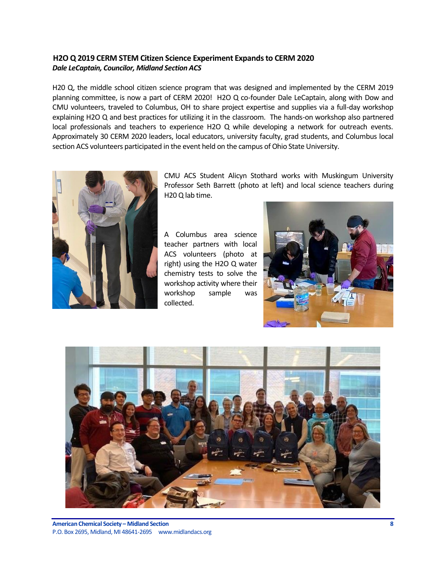# <span id="page-7-0"></span>**H2O Q 2019 CERM STEM Citizen Science Experiment Expands to CERM 2020** *Dale LeCaptain, Councilor, Midland Section ACS*

H20 Q, the middle school citizen science program that was designed and implemented by the CERM 2019 planning committee, is now a part of CERM 2020! H2O Q co-founder Dale LeCaptain, along with Dow and CMU volunteers, traveled to Columbus, OH to share project expertise and supplies via a full-day workshop explaining H2O Q and best practices for utilizing it in the classroom. The hands-on workshop also partnered local professionals and teachers to experience H2O Q while developing a network for outreach events. Approximately 30 CERM 2020 leaders, local educators, university faculty, grad students, and Columbus local section ACS volunteers participated in the event held on the campus of Ohio State University.



CMU ACS Student Alicyn Stothard works with Muskingum University Professor Seth Barrett (photo at left) and local science teachers during H20 Q lab time.

A Columbus area science teacher partners with local ACS volunteers (photo at right) using the H2O Q water chemistry tests to solve the workshop activity where their workshop sample was collected.



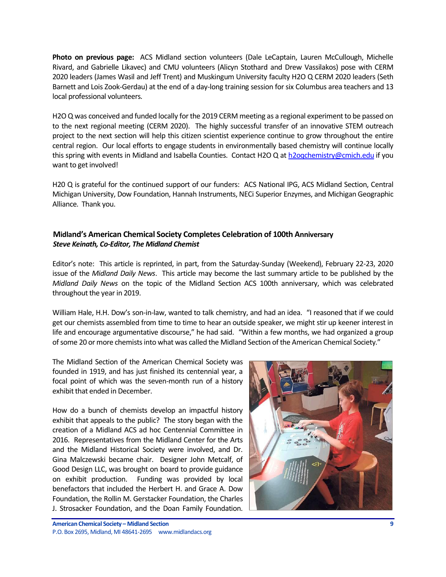**Photo on previous page:** ACS Midland section volunteers (Dale LeCaptain, Lauren McCullough, Michelle Rivard, and Gabrielle Likavec) and CMU volunteers (Alicyn Stothard and Drew Vassilakos) pose with CERM 2020 leaders (James Wasil and Jeff Trent) and Muskingum University faculty H2O Q CERM 2020 leaders (Seth Barnett and Lois Zook-Gerdau) at the end of a day-long training session for six Columbus area teachers and 13 local professional volunteers.

H2O Q was conceived and funded locally for the 2019 CERM meeting as a regional experiment to be passed on to the next regional meeting (CERM 2020). The highly successful transfer of an innovative STEM outreach project to the next section will help this citizen scientist experience continue to grow throughout the entire central region. Our local efforts to engage students in environmentally based chemistry will continue locally this spring with events in Midland and Isabella Counties. Contact H2O Q at [h2oqchemistry@cmich.edu](mailto:h2oqchemistry@cmich.edu) if you want to get involved!

H20 Q is grateful for the continued support of our funders: ACS National IPG, ACS Midland Section, Central Michigan University, Dow Foundation, Hannah Instruments, NECi Superior Enzymes, and Michigan Geographic Alliance. Thank you.

# <span id="page-8-0"></span>**Midland's American Chemical Society Completes Celebration of 100th Anniversary** *Steve Keinath, Co-Editor, The Midland Chemist*

Editor's note: This article is reprinted, in part, from the Saturday-Sunday (Weekend), February 22-23, 2020 issue of the *Midland Daily News*. This article may become the last summary article to be published by the *Midland Daily News* on the topic of the Midland Section ACS 100th anniversary, which was celebrated throughout the year in 2019.

William Hale, H.H. Dow's son-in-law, wanted to talk chemistry, and had an idea. "I reasoned that if we could get our chemists assembled from time to time to hear an outside speaker, we might stir up keener interest in life and encourage argumentative discourse," he had said. "Within a few months, we had organized a group of some 20 or more chemists into what was called the Midland Section of the American Chemical Society."

The Midland Section of the American Chemical Society was founded in 1919, and has just finished its centennial year, a focal point of which was the seven-month run of a history exhibit that ended in December.

How do a bunch of chemists develop an impactful history exhibit that appeals to the public? The story began with the creation of a Midland ACS ad hoc Centennial Committee in 2016. Representatives from the Midland Center for the Arts and the Midland Historical Society were involved, and Dr. Gina Malczewski became chair. Designer John Metcalf, of Good Design LLC, was brought on board to provide guidance on exhibit production. Funding was provided by local benefactors that included the Herbert H. and Grace A. Dow Foundation, the Rollin M. Gerstacker Foundation, the Charles J. Strosacker Foundation, and the Doan Family Foundation.

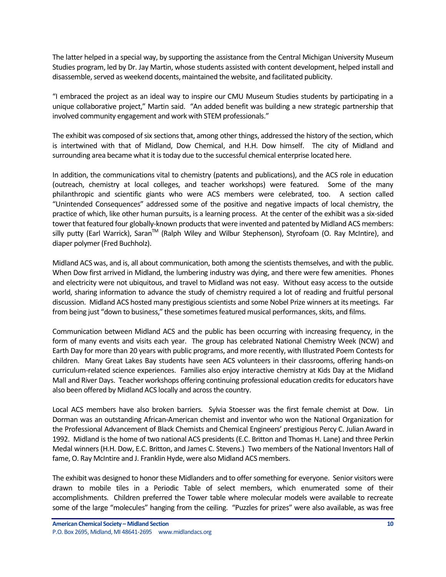The latter helped in a special way, by supporting the assistance from the Central Michigan University Museum Studies program, led by Dr. Jay Martin, whose students assisted with content development, helped install and disassemble, served as weekend docents, maintained the website, and facilitated publicity.

"I embraced the project as an ideal way to inspire our CMU Museum Studies students by participating in a unique collaborative project," Martin said. "An added benefit was building a new strategic partnership that involved community engagement and work with STEM professionals."

The exhibit was composed of six sections that, among other things, addressed the history of the section, which is intertwined with that of Midland, Dow Chemical, and H.H. Dow himself. The city of Midland and surrounding area became what it is today due to the successful chemical enterprise located here.

In addition, the communications vital to chemistry (patents and publications), and the ACS role in education (outreach, chemistry at local colleges, and teacher workshops) were featured. Some of the many philanthropic and scientific giants who were ACS members were celebrated, too. A section called "Unintended Consequences" addressed some of the positive and negative impacts of local chemistry, the practice of which, like other human pursuits, is a learning process. At the center of the exhibit was a six-sided tower that featured four globally-known products that were invented and patented by Midland ACS members: silly putty (Earl Warrick), Saran<sup>™</sup> (Ralph Wiley and Wilbur Stephenson), Styrofoam (O. Ray McIntire), and diaper polymer (Fred Buchholz).

Midland ACS was, and is, all about communication, both among the scientists themselves, and with the public. When Dow first arrived in Midland, the lumbering industry was dying, and there were few amenities. Phones and electricity were not ubiquitous, and travel to Midland was not easy. Without easy access to the outside world, sharing information to advance the study of chemistry required a lot of reading and fruitful personal discussion. Midland ACS hosted many prestigious scientists and some Nobel Prize winners at its meetings. Far from being just "down to business," these sometimes featured musical performances, skits, and films.

Communication between Midland ACS and the public has been occurring with increasing frequency, in the form of many events and visits each year. The group has celebrated National Chemistry Week (NCW) and Earth Day for more than 20 years with public programs, and more recently, with Illustrated Poem Contests for children. Many Great Lakes Bay students have seen ACS volunteers in their classrooms, offering hands-on curriculum-related science experiences. Families also enjoy interactive chemistry at Kids Day at the Midland Mall and River Days. Teacher workshops offering continuing professional education credits for educators have also been offered by Midland ACS locally and across the country.

Local ACS members have also broken barriers. Sylvia Stoesser was the first female chemist at Dow. Lin Dorman was an outstanding African-American chemist and inventor who won the National Organization for the Professional Advancement of Black Chemists and Chemical Engineers' prestigious Percy C. Julian Award in 1992. Midland is the home of two national ACS presidents (E.C. Britton and Thomas H. Lane) and three Perkin Medal winners (H.H. Dow, E.C. Britton, and James C. Stevens.) Two members of the National Inventors Hall of fame, O. Ray McIntire and J. Franklin Hyde, were also Midland ACS members.

The exhibit was designed to honor these Midlanders and to offer something for everyone. Senior visitors were drawn to mobile tiles in a Periodic Table of select members, which enumerated some of their accomplishments. Children preferred the Tower table where molecular models were available to recreate some of the large "molecules" hanging from the ceiling. "Puzzles for prizes" were also available, as was free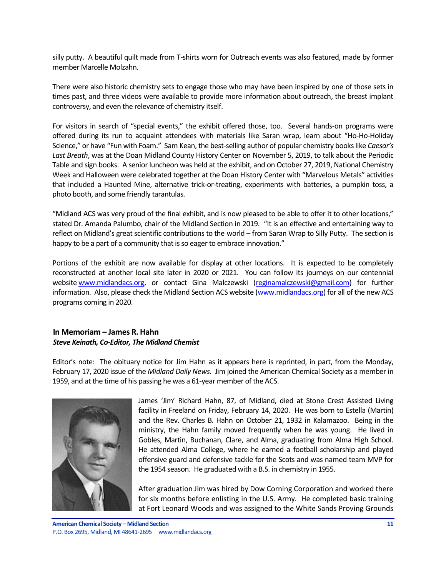silly putty. A beautiful quilt made from T-shirts worn for Outreach events was also featured, made by former member Marcelle Molzahn.

There were also historic chemistry sets to engage those who may have been inspired by one of those sets in times past, and three videos were available to provide more information about outreach, the breast implant controversy, and even the relevance of chemistry itself.

For visitors in search of "special events," the exhibit offered those, too. Several hands-on programs were offered during its run to acquaint attendees with materials like Saran wrap, learn about "Ho-Ho-Holiday Science," or have "Fun with Foam." Sam Kean, the best-selling author of popular chemistry books like *Caesar's Last Breath*, was at the Doan Midland County History Center on November 5, 2019, to talk about the Periodic Table and sign books. A senior luncheon was held at the exhibit, and on October 27, 2019, National Chemistry Week and Halloween were celebrated together at the Doan History Center with "Marvelous Metals" activities that included a Haunted Mine, alternative trick-or-treating, experiments with batteries, a pumpkin toss, a photo booth, and some friendly tarantulas.

"Midland ACS was very proud of the final exhibit, and is now pleased to be able to offer it to other locations," stated Dr. Amanda Palumbo, chair of the Midland Section in 2019. "It is an effective and entertaining way to reflect on Midland's great scientific contributions to the world – from Saran Wrap to Silly Putty. The section is happy to be a part of a community that is so eager to embrace innovation."

Portions of the exhibit are now available for display at other locations. It is expected to be completely reconstructed at another local site later in 2020 or 2021. You can follow its journeys on our centennial website [www.midlandacs.org,](www.midlandacs.org) or contact Gina Malczewski [\(reginamalczewski@gmail.com\)](mailto:reginamalczewski@gmail.com) for further information. Also, please check the Midland Section ACS website [\(www.midlandacs.org\)](www.midlandacs.org) for all of the new ACS programs coming in 2020.

#### <span id="page-10-0"></span>**In Memoriam – James R. Hahn** *Steve Keinath, Co-Editor, The Midland Chemist*

Editor's note: The obituary notice for Jim Hahn as it appears here is reprinted, in part, from the Monday, February 17, 2020 issue of the *Midland Daily News*. Jim joined the American Chemical Society as a member in 1959, and at the time of his passing he was a 61-year member of the ACS.



James 'Jim' Richard Hahn, 87, of Midland, died at Stone Crest Assisted Living facility in Freeland on Friday, February 14, 2020. He was born to Estella (Martin) and the Rev. Charles B. Hahn on October 21, 1932 in Kalamazoo. Being in the ministry, the Hahn family moved frequently when he was young. He lived in Gobles, Martin, Buchanan, Clare, and Alma, graduating from Alma High School. He attended Alma College, where he earned a football scholarship and played offensive guard and defensive tackle for the Scots and was named team MVP for the 1954 season. He graduated with a B.S. in chemistry in 1955.

After graduation Jim was hired by Dow Corning Corporation and worked there for six months before enlisting in the U.S. Army. He completed basic training at Fort Leonard Woods and was assigned to the White Sands Proving Grounds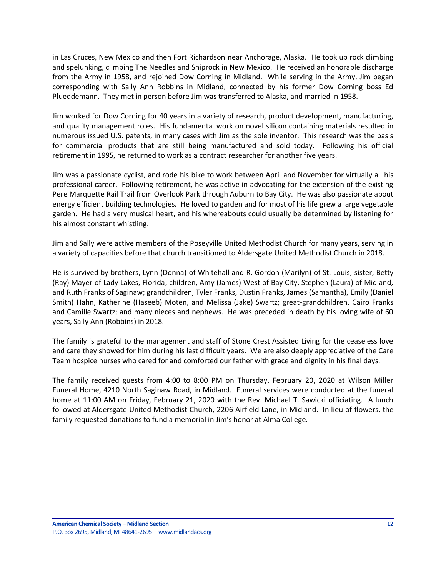in Las Cruces, New Mexico and then Fort Richardson near Anchorage, Alaska. He took up rock climbing and spelunking, climbing The Needles and Shiprock in New Mexico. He received an honorable discharge from the Army in 1958, and rejoined Dow Corning in Midland. While serving in the Army, Jim began corresponding with Sally Ann Robbins in Midland, connected by his former Dow Corning boss Ed Plueddemann. They met in person before Jim was transferred to Alaska, and married in 1958.

Jim worked for Dow Corning for 40 years in a variety of research, product development, manufacturing, and quality management roles. His fundamental work on novel silicon containing materials resulted in numerous issued U.S. patents, in many cases with Jim as the sole inventor. This research was the basis for commercial products that are still being manufactured and sold today. Following his official retirement in 1995, he returned to work as a contract researcher for another five years.

Jim was a passionate cyclist, and rode his bike to work between April and November for virtually all his professional career. Following retirement, he was active in advocating for the extension of the existing Pere Marquette Rail Trail from Overlook Park through Auburn to Bay City. He was also passionate about energy efficient building technologies. He loved to garden and for most of his life grew a large vegetable garden. He had a very musical heart, and his whereabouts could usually be determined by listening for his almost constant whistling.

Jim and Sally were active members of the Poseyville United Methodist Church for many years, serving in a variety of capacities before that church transitioned to Aldersgate United Methodist Church in 2018.

He is survived by brothers, Lynn (Donna) of Whitehall and R. Gordon (Marilyn) of St. Louis; sister, Betty (Ray) Mayer of Lady Lakes, Florida; children, Amy (James) West of Bay City, Stephen (Laura) of Midland, and Ruth Franks of Saginaw; grandchildren, Tyler Franks, Dustin Franks, James (Samantha), Emily (Daniel Smith) Hahn, Katherine (Haseeb) Moten, and Melissa (Jake) Swartz; great-grandchildren, Cairo Franks and Camille Swartz; and many nieces and nephews. He was preceded in death by his loving wife of 60 years, Sally Ann (Robbins) in 2018.

The family is grateful to the management and staff of Stone Crest Assisted Living for the ceaseless love and care they showed for him during his last difficult years. We are also deeply appreciative of the Care Team hospice nurses who cared for and comforted our father with grace and dignity in his final days.

The family received guests from 4:00 to 8:00 PM on Thursday, February 20, 2020 at Wilson Miller Funeral Home, 4210 North Saginaw Road, in Midland. Funeral services were conducted at the funeral home at 11:00 AM on Friday, February 21, 2020 with the Rev. Michael T. Sawicki officiating. A lunch followed at Aldersgate United Methodist Church, 2206 Airfield Lane, in Midland. In lieu of flowers, the family requested donations to fund a memorial in Jim's honor at Alma College.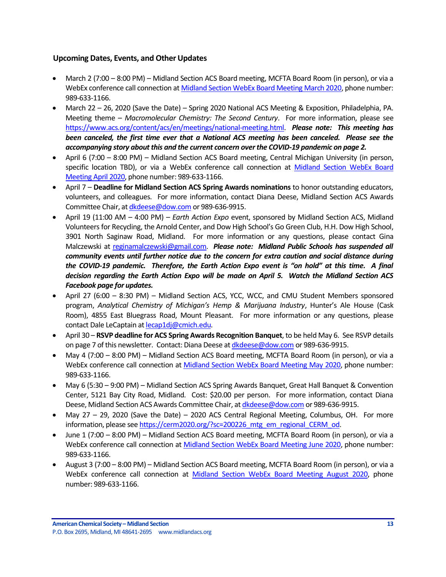# <span id="page-12-0"></span>**Upcoming Dates, Events, and Other Updates**

- March 2 (7:00 8:00 PM) Midland Section ACS Board meeting, MCFTA Board Room (in person), or via a WebEx conference call connection at [Midland Section WebEx Board Meeting March 2020,](https://dow.webex.com/webappng/sites/dow/meeting/info/147369060224504746?MTID=m78a8d57fb6938a51f77ac48717ac8ec9) phone number: 989-633-1166.
- March 22 26, 2020 (Save the Date) Spring 2020 National ACS Meeting & Exposition, Philadelphia, PA. Meeting theme – *Macromolecular Chemistry: The Second Century*. For more information, please see [https://www.acs.org/content/acs/en/meetings/national-meeting.html.](https://www.acs.org/content/acs/en/meetings/national-meeting.html) *Please note: This meeting has been canceled, the first time ever that a National ACS meeting has been canceled. Please see the accompanying story about this and the current concern over the COVID-19 pandemic on page 2.*
- April 6 (7:00 8:00 PM) Midland Section ACS Board meeting, Central Michigan University (in person, specific location TBD), or via a WebEx conference call connection at Midland Section WebEx Board [Meeting April 2020,](https://dow.webex.com/webappng/sites/dow/meeting/info/147369092218655717?MTID=m4dc31bbe6645d5f7f0f29c969b418891) phone number: 989-633-1166.
- April 7 **Deadline for Midland Section ACS Spring Awards nominations** to honor outstanding educators, volunteers, and colleagues. For more information, contact Diana Deese, Midland Section ACS Awards Committee Chair, a[t dkdeese@dow.com](mailto:dkdeese@dow.com) or 989-636-9915.
- April 19 (11:00 AM 4:00 PM) *Earth Action Expo* event, sponsored by Midland Section ACS, Midland Volunteers for Recycling, the Arnold Center, and Dow High School's Go Green Club, H.H. Dow High School, 3901 North Saginaw Road, Midland. For more information or any questions, please contact Gina Malczewski at [reginamalczewski@gmail.com.](mailto:reginamalczewski@gmail.com) *Please note: Midland Public Schools has suspended all community events until further notice due to the concern for extra caution and social distance during the COVID-19 pandemic. Therefore, the Earth Action Expo event is "on hold" at this time. A final decision regarding the Earth Action Expo will be made on April 5. Watch the Midland Section ACS Facebook page for updates.*
- April 27 (6:00 8:30 PM) Midland Section ACS, YCC, WCC, and CMU Student Members sponsored program, *Analytical Chemistry of Michigan's Hemp & Marijuana Industry*, Hunter's Ale House (Cask Room), 4855 East Bluegrass Road, Mount Pleasant. For more information or any questions, please contact Dale LeCaptain a[t lecap1dj@cmich.edu.](mailto:lecap1dj@cmich.edu)
- April 30 **RSVP deadline for ACS Spring Awards Recognition Banquet**, to be held May 6. See RSVP details on page 7 of this newsletter. Contact: Diana Deese a[t dkdeese@dow.com](mailto:dkdeese@dow.com) or 989-636-9915.
- May 4 (7:00 8:00 PM) Midland Section ACS Board meeting, MCFTA Board Room (in person), or via a WebEx conference call connection at [Midland Section WebEx Board Meeting May 2020,](https://dow.webex.com/webappng/sites/dow/meeting/info/147369119023403198?MTID=m97c16758c795093aaa8840be9a9484f3) phone number: 989-633-1166.
- May 6 (5:30 9:00 PM) Midland Section ACS Spring Awards Banquet, Great Hall Banquet & Convention Center, 5121 Bay City Road, Midland. Cost: \$20.00 per person. For more information, contact Diana Deese, Midland Section ACS Awards Committee Chair, a[t dkdeese@dow.com](mailto:dkdeese@dow.com) or 989-636-9915.
- May 27 29, 2020 (Save the Date) 2020 ACS Central Regional Meeting, Columbus, OH. For more information, please se[e https://cerm2020.org/?sc=200226\\_mtg\\_em\\_regional\\_CERM\\_od.](https://cerm2020.org/?sc=200226_mtg_em_regional_CERM_od)
- June 1 (7:00 8:00 PM) Midland Section ACS Board meeting, MCFTA Board Room (in person), or via a WebEx conference call connection at [Midland Section WebEx Board Meeting June 2020,](https://dow.webex.com/webappng/sites/dow/meeting/info/147369764857090207?MTID=m6d5b883f8b8a0cccbb56f34737466537) phone number: 989-633-1166.
- August 3 (7:00 8:00 PM) Midland Section ACS Board meeting, MCFTA Board Room (in person), or via a WebEx conference call connection at [Midland Section WebEx Board Meeting August 2020,](https://dow.webex.com/webappng/sites/dow/meeting/info/147369865088373225?MTID=m9e575e5b99b945a631d5e929d4c9b94e) phone number: 989-633-1166.